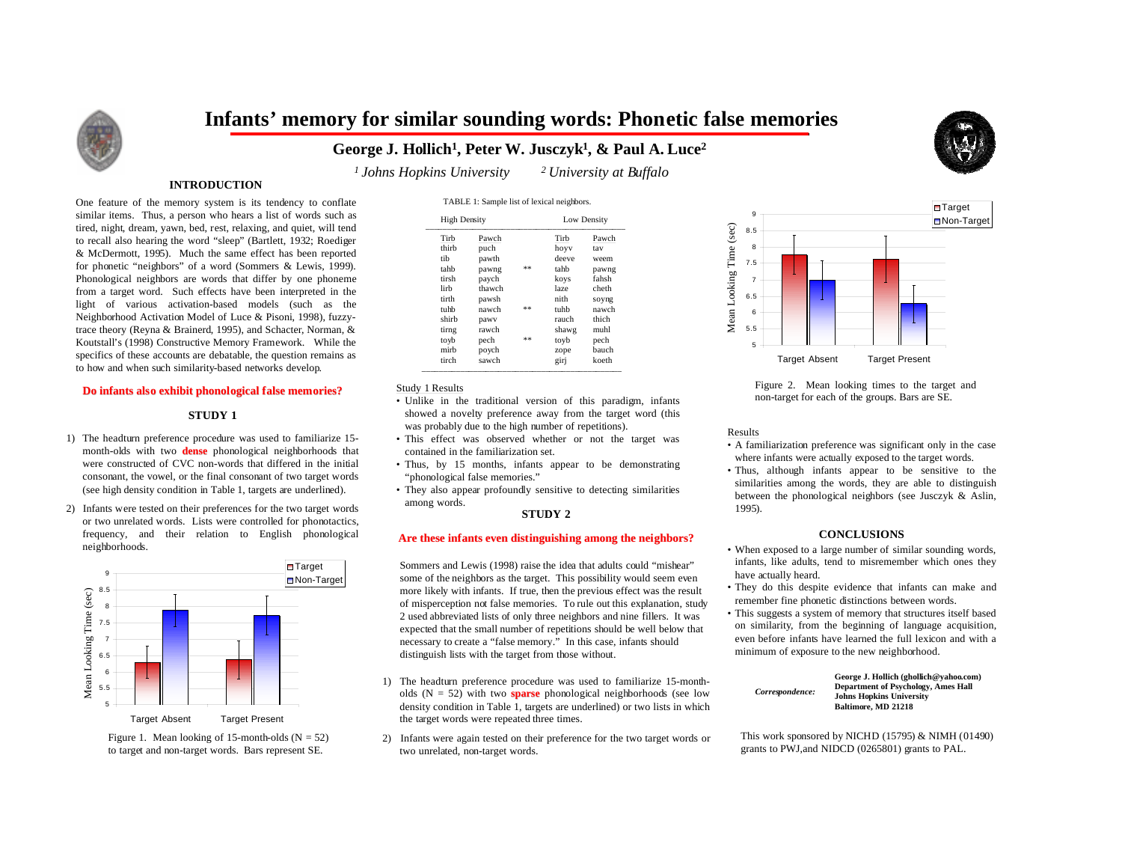

# **Infants' memory for similar sounding words: Phonetic false memories**

**George J. Hollich1, Peter W. Jusczyk1, & Paul A. Luce2**

TABLE 1: Sample list of lexical neighbors.



*1 Johns Hopkins University 2 University at Buffalo*

## **INTRODUCTION**

One feature of the memory system is its tendency to conflate similar items. Thus, a person who hears a list of words such as tired, night, dream, yawn, bed, rest, relaxing, and quiet, will tend to recall also hearing the word "sleep" (Bartlett, 1932; Roediger & McDermott, 1995). Much the same effect has been reported for phonetic "neighbors" of a word (Sommers & Lewis, 1999). Phonological neighbors are words that differ by one phoneme from a target word. Such effects have been interpreted in the light of various activation-based models (such as the Neighborhood Activation Model of Luce & Pisoni, 1998), fuzzytrace theory (Reyna & Brainerd, 1995), and Schacter, Norman, & Koutstall's (1998) Constructive Memory Framework. While the specifics of these accounts are debatable, the question remains as to how and when such similarity-based networks develop.

#### **Do infants also exhibit phonological false memories?**

#### **STUDY 1**

- 1) The headturn preference procedure was used to familiarize 15 month-olds with two **dense** phonological neighborhoods that were constructed of CVC non-words that differed in the initial consonant, the vowel, or the final consonant of two target words (see high density condition in Table 1, targets are underlined).
- 2) Infants were tested on their preferences for the two target words or two unrelated words. Lists were controlled for phonotactics, frequency, and their relation to English phonological neighborhoods.



Figure 1. Mean looking of 15-month-olds  $(N = 52)$ to target and non-target words. Bars represent SE.

| <b>High Density</b> |        |      | Low Density |       |
|---------------------|--------|------|-------------|-------|
| Tirb                | Pawch  |      | Tirb        | Pawch |
| thirb               | puch   |      | hoyy        | tav   |
| tib                 | pawth  |      | deeve       | weem  |
| tahh                | pawng  | $**$ | tahh        | pawng |
| tirsh               | paych  |      | koys        | fahsh |
| lirh                | thawch |      | laze        | cheth |
| tirth               | pawsh  |      | nith        | soyng |
| tuhb                | nawch  | $**$ | tuhb        | nawch |
| shirb               | pawy   |      | rauch       | thich |
| tirng               | rawch  |      | shawg       | muhl  |
| toyb                | pech   | **   | toyb        | pech  |
| mirh                | poych  |      | zope        | bauch |
| tirch               | sawch  |      | girj        | koeth |

### Study 1 Results

- Unlike in the traditional version of this paradigm, infants showed a novelty preference away from the target word (this was probably due to the high number of repetitions).
- This effect was observed whether or not the target was contained in the familiarization set.
- Thus, by 15 months, infants appear to be demonstrating "phonological false memories."
- They also appear profoundly sensitive to detecting similarities among words.

#### **STUDY 2**

#### **Are these infants even distinguishing among the neighbors?**

Sommers and Lewis (1998) raise the idea that adults could "mishear" some of the neighbors as the target. This possibility would seem even more likely with infants. If true, then the previous effect was the result of misperception not false memories. To rule out this explanation, study 2 used abbreviated lists of only three neighbors and nine fillers. It was expected that the small number of repetitions should be well below that necessary to create a "false memory." In this case, infants should distinguish lists with the target from those without.

- 1) The headturn preference procedure was used to familiarize 15-montholds (N = 52) with two **sparse** phonological neighborhoods (see low density condition in Table 1, targets are underlined) or two lists in which the target words were repeated three times.
- 2) Infants were again tested on their preference for the two target words or two unrelated, non-target words.



Figure 2. Mean looking times to the target and non-target for each of the groups. Bars are SE.

#### Results

- A familiarization preference was significant only in the case where infants were actually exposed to the target words.
- Thus, although infants appear to be sensitive to the similarities among the words, they are able to distinguish between the phonological neighbors (see Jusczyk & Aslin, 1995).

#### **CONCLUSIONS**

- When exposed to a large number of similar sounding words, infants, like adults, tend to misremember which ones they have actually heard.
- They do this despite evidence that infants can make and remember fine phonetic distinctions between words.
- This suggests a system of memory that structures itself based on similarity, from the beginning of language acquisition, even before infants have learned the full lexicon and with a minimum of exposure to the new neighborhood.

| Correspondence: | George J. Hollich (ghollich@vahoo.com)     |
|-----------------|--------------------------------------------|
|                 | <b>Department of Psychology, Ames Hall</b> |
|                 | <b>Johns Hopkins University</b>            |
|                 | Baltimore, MD 21218                        |

This work sponsored by NICHD (15795) & NIMH (01490) grants to PWJ,and NIDCD (0265801) grants to PAL.